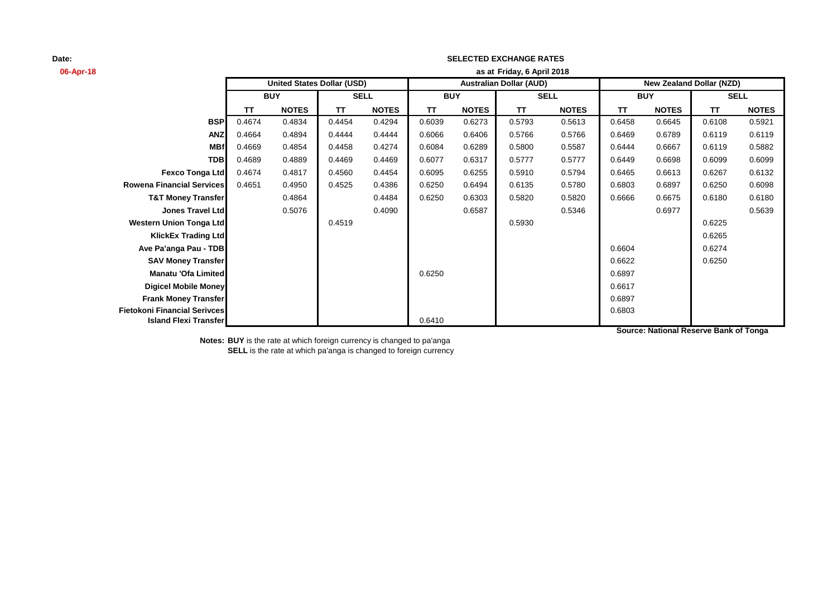# **06-Apr-18 as at TT NOTES TT NOTES TT NOTES TT NOTES TT NOTES TT NOTES BSP** 0.4674 0.4834 0.4454 0.4294 0.6039 0.6273 0.5793 0.5613 0.6458 0.6645 0.6108 0.5921 **ANZ** 0.4664 0.4894 0.4444 0.4444 0.6066 0.6406 0.5766 0.5766 0.6469 0.6789 0.6119 0.6119 **MBf** 0.4669 0.4854 0.4458 0.4274 0.6084 0.6289 0.5800 0.5587 0.6444 0.6667 0.6119 0.5882 **TDB** 0.4689 0.4889 0.4469 0.4469 0.6077 0.6317 0.5777 0.5777 0.6449 0.6698 0.6099 0.6099 **Fexco Tonga Ltd** 0.4674 0.4817 0.4560 0.4454 0.6095 0.6255 0.5910 0.5794 0.6465 0.6613 0.6267 0.6132 **Rowena Financial Services** 0.4651 0.4950 0.4525 0.4386 0.6250 0.6494 0.6135 0.5780 0.6803 0.6897 0.6250 0.6098 **T&T Money Transfer** 0.4864 0.4484 0.6250 0.6303 0.5820 0.5820 0.6666 0.6675 0.6180 0.6180 **Jones Travel Ltd** 0.5076 0.4090 0.6587 0.5346 0.6977 0.5639 **Western Union Tonga Ltd** 0.4519 0.5930 0.6225 **KlickEx Trading Ltd** 0.6265 **Ave Pa'anga Pau - TDB** 0.6274 **SAV Money Transfer** 0.6622 0.6250 **Manatu 'Ofa Limited** 0.6250 0.6250 0.6250 0.6250 0.6897 **Digicel Mobile Money** 0.6617 **Frank Money Transfer** 2.6897 **Fietokoni Financial Serivces** 0.6803 **Island Flexi Transfer SELL United States Dollar (USD) Australian Dollar (AUD) New Zealand Dollar (NZD) BUY SELL BUY SELL BUY Friday, 6 April 2018**

**SELECTED EXCHANGE RATES**

**Source: National Reserve Bank of Tonga**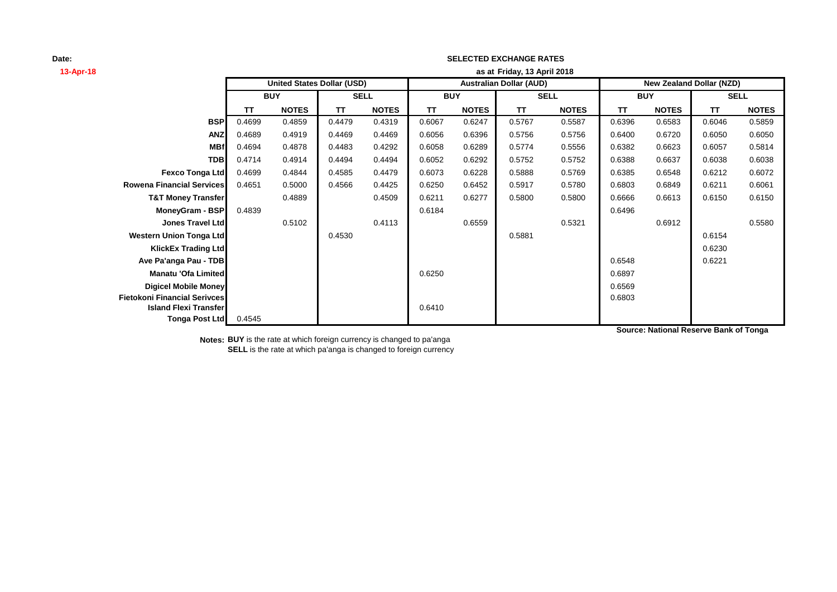## **13-Apr-18 as at TT NOTES TT NOTES TT NOTES TT NOTES TT NOTES TT NOTES BSP** 0.4699 0.4859 0.4479 0.4319 0.6067 0.6247 0.5767 0.5587 0.6396 0.6583 0.6046 0.5859 **ANZ** 0.4689 0.4919 0.4469 0.4469 0.6056 0.6396 0.5756 0.5756 0.6400 0.6720 0.6050 0.6050 **MBf|** 0.4694 0.4878 | 0.4483 0.4292 | 0.6058 0.6289 | 0.5774 0.5556 | 0.6382 0.6623 | 0.6057 0.5814 **TDB** 0.4714 0.4914 0.4494 0.4494 0.6052 0.6292 0.5752 0.5752 0.6388 0.6637 0.6038 0.6038 **Fexco Tonga Ltd** 0.4699 0.4844 0.4585 0.4479 0.6073 0.6228 0.5888 0.5769 0.6385 0.6548 0.6212 0.6072 **Rowena Financial Services** 0.4651 0.5000 0.4566 0.4425 0.6250 0.6452 0.5917 0.5780 0.6803 0.6849 0.6211 0.6061 **T&T Money Transfer** 0.4889 0.4509 0.6211 0.6277 0.5800 0.5800 0.6666 0.6613 0.6150 0.6150 **MoneyGram - BSP** 0.4839 0.6496 **0.6496** 0.6496 0.6496 0.6496 0.6496 0.6496 0.6496 0.6496 0.6496 0.6496 0.6496 0.6496 **Jones Travel Ltd** 0.5102 0.4113 0.6559 0.5321 0.6912 0.5580 **Western Union Tonga Ltd** 0.4530 0.5881 0.6154 **KlickEx Trading Ltd** 0.6230 **Ave Pa'anga Pau - TDB** 0.6221 **Manatu 'Ofa Limited** 0.6897 **Digicel Mobile Money** 0.6569 **Fietokoni Financial Serivces** 0.6803 **Island Flexi Transfer** 0.6410 **Tonga Post Ltd** 0.4545 **SELL United States Dollar (USD) Australian Dollar (AUD) New Zealand Dollar (NZD) BUY SELL BUY SELL BUY Friday, 13 April 2018**

**SELECTED EXCHANGE RATES**

**Source: National Reserve Bank of Tonga**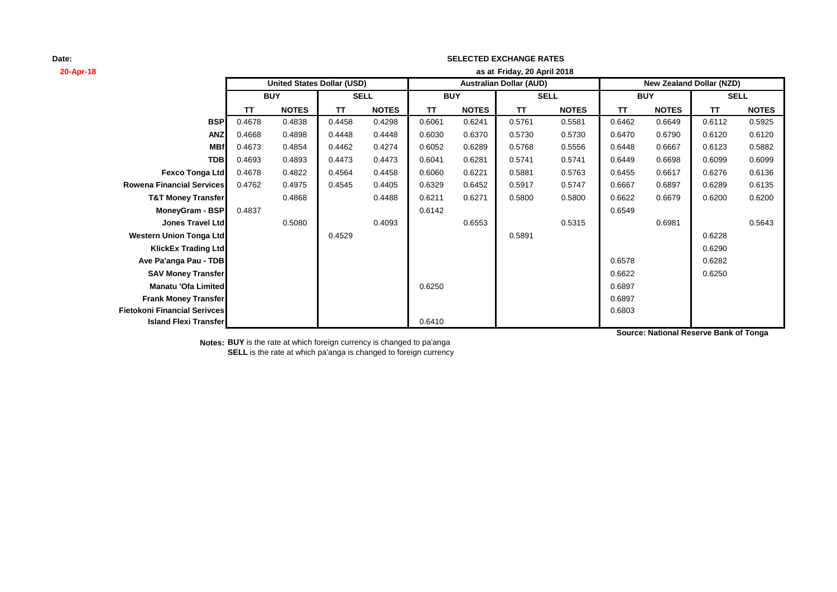# **20-Apr-18 as at TT NOTES TT NOTES TT NOTES TT NOTES TT NOTES TT NOTES BSP** 0.4678 0.4838 0.4458 0.4298 0.6061 0.6241 0.5761 0.5581 0.6462 0.6649 0.6112 0.5925 **ANZ** 0.4668 0.4898 0.4448 0.4448 0.6030 0.6370 0.5730 0.5730 0.6470 0.6790 0.6120 0.6120 **MBf** 0.4673 0.4854 0.4462 0.4274 0.6052 0.6289 0.5768 0.5556 0.6448 0.6667 0.6123 0.5882 **TDB** 0.4693 0.4893 0.4473 0.4473 0.6041 0.6281 0.5741 0.5741 0.6449 0.6698 0.6099 0.6099 **Fexco Tonga Ltd** 0.4678 0.4822 0.4564 0.4458 0.6060 0.6221 0.5881 0.5763 0.6455 0.6617 0.6276 0.6136 **Rowena Financial Services** 0.4762 0.4975 0.4545 0.4405 0.6329 0.6452 0.5917 0.5747 0.6667 0.6897 0.6289 0.6135 **T&T Money Transfer** 0.4868 0.4488 0.6211 0.6271 0.5800 0.5800 0.6622 0.6679 0.6200 0.6200 **MoneyGram - BSP** 0.4837 0.6549 0.6549 0.6549 0.6549 **Jones Travel Ltd** 0.5080 0.4093 0.6553 0.5315 0.6981 0.5643 **Western Union Tonga Ltd** 0.4529 0.5891 0.6228 **KlickEx Trading Ltd** 0.6290 **Ave Pa'anga Pau - TDB** 0.6282 **SAV Money Transfer** 0.6622 0.6250 **Manatu 'Ofa Limited** 0.6897 **Frank Money Transfer** 2.6897 **Fietokoni Financial Serivces** 0.6803 **Island Flexi Transfer Internal Contract Contract Contract Contract Contract Contract Contract Contract Contract Contract Contract Contract Contract Contract Contract Contract Contract Contract Contract Contract Contract SELL United States Dollar (USD) Australian Dollar (AUD) New Zealand Dollar (NZD) BUY SELL BUY SELL BUY Friday, 20 April 2018**

**SELECTED EXCHANGE RATES**

**Source: National Reserve Bank of Tonga**